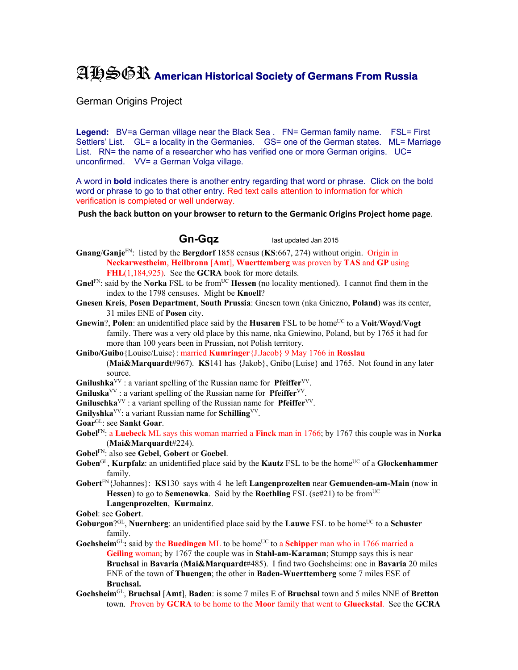## AHSGR **American Historical Society of Germans From Russia**

German Origins Project

Legend: BV=a German village near the Black Sea . FN= German family name. FSL= First Settlers' List. GL= a locality in the Germanies. GS= one of the German states. ML= Marriage List. RN= the name of a researcher who has verified one or more German origins. UC= unconfirmed. VV= a German Volga village.

A word in **bold** indicates there is another entry regarding that word or phrase. Click on the bold word or phrase to go to that other entry. Red text calls attention to information for which verification is completed or well underway.

**Push the back button on your browser to return to the Germanic Origins Project home page**.

**Gn-Gqz** last updated Jan 2015

- **Gnang**/**Ganje**FN: listed by the **Bergdorf** 1858 census (**KS**:667, 274) without origin. Origin in **Neckarwestheim**, **Heilbronn** [**Amt**], **Wuerttemberg** was proven by **TAS** and **GP** using **FHL**(1,184,925). See the **GCRA** book for more details.
- **Gnel**<sup>FN</sup>: said by the **Norka** FSL to be from<sup>UC</sup> **Hessen** (no locality mentioned). I cannot find them in the index to the 1798 censuses. Might be **Knoell**?
- **Gnesen Kreis**, **Posen Department**, **South Prussia**: Gnesen town (nka Gniezno, **Poland**) was its center, 31 miles ENE of **Posen** city.
- **Gnewin**?, **Polen**: an unidentified place said by the **Husaren** FSL to be home<sup>UC</sup> to a **Voit/Woyd/Vogt** family. There was a very old place by this name, nka Gniewino, Poland, but by 1765 it had for more than 100 years been in Prussian, not Polish territory.
- **Gnibo/Guibo**{Louise/Luise}: married **Kumringer**{J.Jacob} 9 May 1766 in **Rosslau**  (**Mai&Marquardt**#967). **KS**141 has {Jakob}, Gnibo{Luise} and 1765. Not found in any later source.
- **Gnilushka**<sup>VV</sup>: a variant spelling of the Russian name for **Pfeiffer**<sup>VV</sup>.
- Gniluska<sup>VV</sup> : a variant spelling of the Russian name for **Pfeiffer**<sup>VV</sup>.
- Gniluschka<sup>VV</sup> : a variant spelling of the Russian name for **Pfeiffer**<sup>VV</sup>.
- **Gnilyshka**VV: a variant Russian name for **Schilling**VV.
- **Goar**GL: see **Sankt Goar**.
- **Gobel**FN: a **Luebeck** ML says this woman married a **Finck** man in 1766; by 1767 this couple was in **Norka** (**Mai&Marquardt**#224).
- **Gobel**FN: also see **Gebel**, **Gobert** or **Goebel**.
- **Goben**<sup>GL</sup>, **Kurpfalz**: an unidentified place said by the **Kautz** FSL to be the home<sup>UC</sup> of a **Glockenhammer** family.
- **Gobert**FN{Johannes}: **KS**130 says with 4 he left **Langenprozelten** near **Gemuenden-am-Main** (now in **Hessen**) to go to **Semenowka**. Said by the **Roethling** FSL (se#21) to be from<sup>UC</sup>
	- **Langenprozelten**, **Kurmainz**.
- **Gobel**: see **Gobert**.
- Goburgon?<sup>GL</sup>, Nuernberg: an unidentified place said by the **Lauwe** FSL to be home<sup>UC</sup> to a **Schuster** family.

**Gochsheim**<sup>GL</sup>: said by the **Buedingen** ML to be home<sup>UC</sup> to a **Schipper** man who in 1766 married a **Geiling** woman; by 1767 the couple was in **Stahl-am-Karaman**; Stumpp says this is near **Bruchsal** in **Bavaria** (**Mai&Marquardt**#485). I find two Gochsheims: one in **Bavaria** 20 miles ENE of the town of **Thuengen**; the other in **Baden-Wuerttemberg** some 7 miles ESE of **Bruchsal.**

**Gochsheim**GL, **Bruchsal** [**Amt**], **Baden**: is some 7 miles E of **Bruchsal** town and 5 miles NNE of **Bretton** town. Proven by **GCRA** to be home to the **Moor** family that went to **Glueckstal**. See the **GCRA**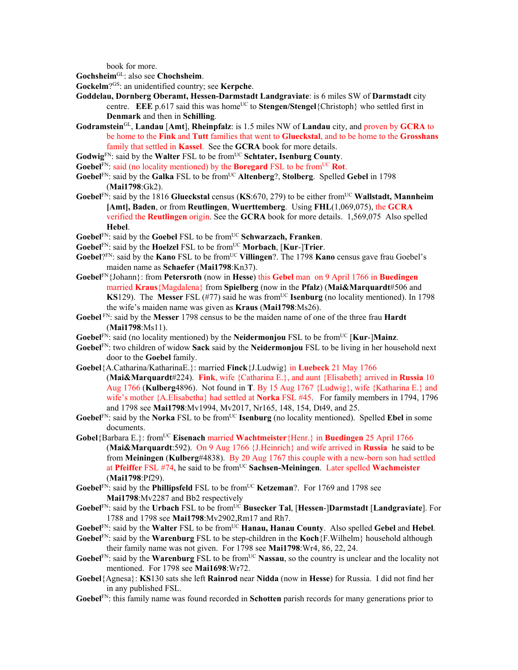book for more.

**Gochsheim**GL: also see **Chochsheim**.

**Gockelm**?GS: an unidentified country; see **Kerpche**.

- **Goddelau, Dornberg Oberamt, Hessen-Darmstadt Landgraviate**: is 6 miles SW of **Darmstadt** city centre. **EEE** p.617 said this was home<sup>UC</sup> to **Stengen/Stengel**{Christoph} who settled first in **Denmark** and then in **Schilling**.
- **Godramstein**GL, **Landau** [**Amt**], **Rheinpfalz**: is 1.5 miles NW of **Landau** city, and proven by **GCRA** to be home to the **Fink** and **Tutt** families that went to **Glueckstal**, and to be home to the **Grosshans** family that settled in **Kassel**. See the **GCRA** book for more details.
- **Godwig**FN: said by the **Walter** FSL to be fromUC **Schtater, Isenburg County**.
- Goebel<sup>FN</sup>: said (no locality mentioned) by the **Boregard** FSL to be from<sup>UC</sup> Rot.
- **Goebel**<sup>FN</sup>: said by the **Galka** FSL to be from<sup>UC</sup> **Altenberg**?, **Stolberg**. Spelled **Gebel** in 1798 (**Mai1798**:Gk2).
- **Goebel**FN: said by the 1816 **Glueckstal** census (**KS**:670, 279) to be either from<sup>UC</sup> Wallstadt, Mannheim **[Amt], Baden**, or from **Reutlingen**, **Wuerttemberg**. Using **FHL**(1,069,075), the **GCRA** verified the **Reutlingen** origin. See the **GCRA** book for more details.1,569,075 Also spelled **Hebel**.
- **Goebel**FN: said by the **Goebel** FSL to be fromUC **Schwarzach, Franken**.
- **Goebel**FN: said by the **Hoelzel** FSL to be fromUC **Morbach**, [**Kur**-]**Trier**.
- **Goebel**?<sup>FN</sup>: said by the **Kano** FSL to be from<sup>UC</sup> Villingen?. The 1798 **Kano** census gave frau Goebel's maiden name as **Schaefer** (**Mai1798**:Kn37).
- **Goebel**FN{Johann}: from **Petersroth** (now in **Hesse**) this **Gebel** man on 9 April 1766 in **Buedingen** married **Kraus**{Magdalena} from **Spielberg** (now in the **Pfalz**) (**Mai&Marquardt**#506 and **KS**129). The **Messer** FSL  $(\text{\#}77)$  said he was from<sup>UC</sup> **Isenburg** (no locality mentioned). In 1798 the wife's maiden name was given as **Kraus** (**Mai1798**:Ms26).
- **Goebel** FN: said by the **Messer** 1798 census to be the maiden name of one of the three frau **Hardt** (**Mai1798**:Ms11).
- **Goebel**<sup>FN</sup>: said (no locality mentioned) by the **Neidermonjou** FSL to be from<sup>UC</sup> [**Kur-**]**Mainz**.
- **Goebel**FN: two children of widow **Sack** said by the **Neidermonjou** FSL to be living in her household next door to the **Goebel** family.
- **Goebel**{A.Catharina/KatharinaE.}: married **Finck**{J.Ludwig} in **Luebeck** 21 May 1766 (**Mai&Marquardt**#224). **Fink**, wife {Catharina E.}, and aunt {Elisabeth} arrived in **Russia** 10 Aug 1766 (**Kulberg**4896). Not found in **T**. By 15 Aug 1767 {Ludwig}, wife {Katharina E.} and wife's mother {A.Elisabetha} had settled at **Norka** FSL #45. For family members in 1794, 1796 and 1798 see **Mai1798**:Mv1994, Mv2017, Nr165, 148, 154, Dt49, and 25.
- **Goebel**<sup>FN</sup>: said by the **Norka** FSL to be from<sup>UC</sup> **Isenburg** (no locality mentioned). Spelled **Ebel** in some documents.
- **Gobel**{Barbara E.}: fromUC **Eisenach** married **Wachtmeister**{Henr.} in **Buedingen** 25 April 1766 (**Mai&Marquardt**:592). On 9 Aug 1766 {J.Heinrich} and wife arrived in **Russia** he said to be from **Meiningen** (**Kulberg**#4838). By 20 Aug 1767 this couple with a new-born son had settled at **Pfeiffer** FSL #74, he said to be from<sup>UC</sup> Sachsen-Meiningen. Later spelled Wachmeister (**Mai1798**:Pf29).
- **Goebel**<sup>FN</sup>: said by the **Phillipsfeld** FSL to be from<sup>UC</sup> **Ketzeman**?. For 1769 and 1798 see **Mai1798**:Mv2287 and Bb2 respectively
- **Goebel**FN: said by the **Urbach** FSL to be fromUC **Busecker Tal**, [**Hessen**-]**Darmstadt** [**Landgraviate**]. For 1788 and 1798 see **Mai1798**:Mv2902,Rm17 and Rh7.
- **Goebel**FN: said by the **Walter** FSL to be fromUC **Hanau, Hanau County**. Also spelled **Gebel** and **Hebel**.
- **Goebel**FN: said by the **Warenburg** FSL to be step-children in the **Koch**{F.Wilhelm} household although their family name was not given. For 1798 see **Mai1798**:Wr4, 86, 22, 24.
- **Goebel<sup>FN</sup>:** said by the **Warenburg** FSL to be from<sup>UC</sup> **Nassau**, so the country is unclear and the locality not mentioned. For 1798 see **Mai1698**:Wr72.
- **Goebel**{Agnesa}: **KS**130 sats she left **Rainrod** near **Nidda** (now in **Hesse**) for Russia. I did not find her in any published FSL.
- **Goebel**FN: this family name was found recorded in **Schotten** parish records for many generations prior to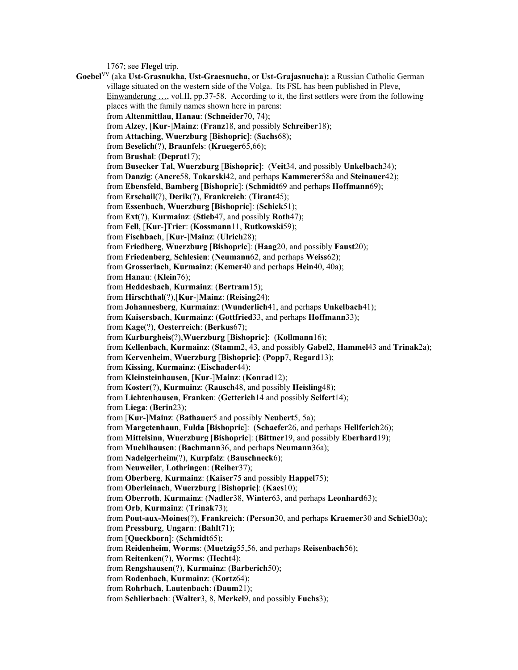1767; see **Flegel** trip.

**Goebel**VV (aka **Ust-Grasnukha, Ust-Graesnucha,** or **Ust-Grajasnucha**)**:** a Russian Catholic German village situated on the western side of the Volga. Its FSL has been published in Pleve, Einwanderung ..., vol.II, pp.37-58. According to it, the first settlers were from the following places with the family names shown here in parens: from **Altenmittlau**, **Hanau**: (**Schneider**70, 74); from **Alzey**, [**Kur**-]**Mainz**: (**Franz**18, and possibly **Schreiber**18); from **Attaching**, **Wuerzburg** [**Bishopric**]: (**Sachs**68); from **Beselich**(?), **Braunfels**: (**Krueger**65,66); from **Brushal**: (**Deprat**17); from **Busecker Tal**, **Wuerzburg** [**Bishopric**]: (**Veit**34, and possibly **Unkelbach**34); from **Danzig**: (**Ancre**58, **Tokarski**42, and perhaps **Kammerer**58a and **Steinauer**42); from **Ebensfeld**, **Bamberg** [**Bishopric**]: (**Schmidt**69 and perhaps **Hoffmann**69); from **Erschail**(?), **Derik**(?), **Frankreich**: (**Tirant**45); from **Essenbach**, **Wuerzburg** [**Bishopric**]: (**Schick**51); from **Ext**(?), **Kurmainz**: (**Stieb**47, and possibly **Roth**47); from **Fell**, [**Kur**-]**Trier**: (**Kossmann**11, **Rutkowski**59); from **Fischbach**, [**Kur**-]**Mainz**: (**Ulrich**28); from **Friedberg**, **Wuerzburg** [**Bishopric**]: (**Haag**20, and possibly **Faust**20); from **Friedenberg**, **Schlesien**: (**Neumann**62, and perhaps **Weiss**62); from **Grosserlach**, **Kurmainz**: (**Kemer**40 and perhaps **Hein**40, 40a); from **Hanau**: (**Klein**76); from **Heddesbach**, **Kurmainz**: (**Bertram**15); from **Hirschthal**(?),[**Kur**-]**Mainz**: (**Reising**24); from **Johannesberg**, **Kurmainz**: (**Wunderlich**41, and perhaps **Unkelbach**41); from **Kaisersbach**, **Kurmainz**: (**Gottfried**33, and perhaps **Hoffmann**33); from **Kage**(?), **Oesterreich**: (**Berkus**67); from **Karburgheis**(?),**Wuerzburg** [**Bishopric**]: (**Kollmann**16); from **Kellenbach**, **Kurmainz**: (**Stamm**2, 43, and possibly **Gabel**2, **Hammel**43 and **Trinak**2a); from **Kervenheim**, **Wuerzburg** [**Bishopric**]: (**Popp**7, **Regard**13); from **Kissing**, **Kurmainz**: (**Eischader**44); from **Kleinsteinhausen**, [**Kur**-]**Mainz**: (**Konrad**12); from **Koster**(?), **Kurmainz**: (**Rausch**48, and possibly **Heisling**48); from **Lichtenhausen**, **Franken**: (**Getterich**14 and possibly **Seifert**14); from **Liega**: (**Berin**23); from [**Kur**-]**Mainz**: (**Bathauer**5 and possibly **Neubert**5, 5a); from **Margetenhaun**, **Fulda** [**Bishopric**]: (**Schaefer**26, and perhaps **Hellferich**26); from **Mittelsinn**, **Wuerzburg** [**Bishopric**]: (**Bittner**19, and possibly **Eberhard**19); from **Muehlhausen**: (**Bachmann**36, and perhaps **Neumann**36a); from **Nadelgerheim**(?), **Kurpfalz**: (**Bauschneck**6); from **Neuweiler**, **Lothringen**: (**Reiher**37); from **Oberberg**, **Kurmainz**: (**Kaiser**75 and possibly **Happel**75); from **Oberleinach**, **Wuerzburg** [**Bishopric**]: (**Kaes**10); from **Oberroth**, **Kurmainz**: (**Nadler**38, **Winter**63, and perhaps **Leonhard**63); from **Orb**, **Kurmainz**: (**Trinak**73); from **Pout-aux-Moines**(?), **Frankreich**: (**Person**30, and perhaps **Kraemer**30 and **Schiel**30a); from **Pressburg**, **Ungarn**: (**Bahlt**71); from [**Queckborn**]: (**Schmidt**65); from **Reidenheim**, **Worms**: (**Muetzig**55,56, and perhaps **Reisenbach**56); from **Reitenken**(?), **Worms**: (**Hecht**4); from **Rengshausen**(?), **Kurmainz**: (**Barberich**50); from **Rodenbach**, **Kurmainz**: (**Kortz**64); from **Rohrbach**, **Lautenbach**: (**Daum**21); from **Schlierbach**: (**Walter**3, 8, **Merkel**9, and possibly **Fuchs**3);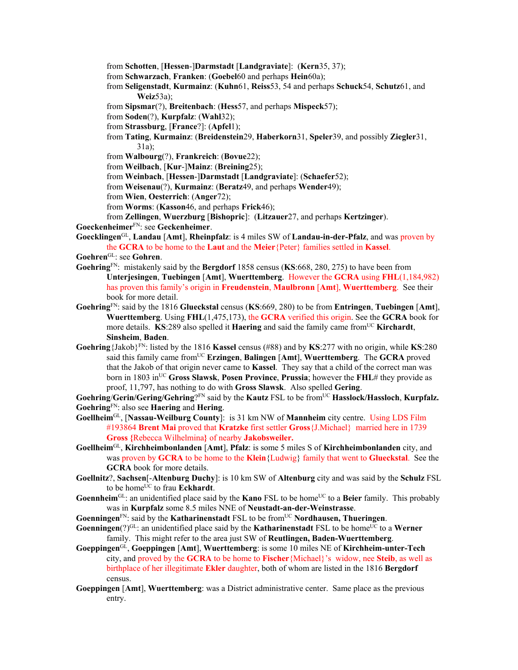from **Schotten**, [**Hessen**-]**Darmstadt** [**Landgraviate**]: (**Kern**35, 37);

from **Schwarzach**, **Franken**: (**Goebel**60 and perhaps **Hein**60a);

- from **Seligenstadt**, **Kurmainz**: (**Kuhn**61, **Reiss**53, 54 and perhaps **Schuck**54, **Schutz**61, and **Weiz**53a);
- from **Sipsmar**(?), **Breitenbach**: (**Hess**57, and perhaps **Mispeck**57);
- from **Soden**(?), **Kurpfalz**: (**Wahl**32);
- from **Strassburg**, [**France**?]: (**Apfel**1);
- from **Tating**, **Kurmainz**: (**Breidenstein**29, **Haberkorn**31, **Speler**39, and possibly **Ziegler**31, 31a);
- from **Walbourg**(?), **Frankreich**: (**Bovue**22);
- from **Weilbach**, [**Kur**-]**Mainz**: (**Breining**25);
- from **Weinbach**, [**Hessen**-]**Darmstadt** [**Landgraviate**]: (**Schaefer**52);

from **Weisenau**(?), **Kurmainz**: (**Beratz**49, and perhaps **Wender**49);

from **Wien**, **Oesterrich**: (**Anger**72);

from **Worms**: (**Kasson**46, and perhaps **Frick**46);

from **Zellingen**, **Wuerzburg** [**Bishopric**]: (**Litzauer**27, and perhaps **Kertzinger**).

**Goeckenheimer**FN: see **Geckenheimer**.

**Goecklingen**GL, **Landau** [**Amt**], **Rheinpfalz**: is 4 miles SW of **Landau-in-der-Pfalz**, and was proven by the **GCRA** to be home to the **Laut** and the **Meier**{Peter} families settled in **Kassel**.

**Goehren**GL: see **Gohren**.

- **Goehring**FN: mistakenly said by the **Bergdorf** 1858 census (**KS**:668, 280, 275) to have been from **Unterjesingen**, **Tuebingen** [**Amt**], **Wuerttemberg**. However the **GCRA** using **FHL**(1,184,982) has proven this family's origin in **Freudenstein**, **Maulbronn** [**Amt**], **Wuerttemberg**. See their book for more detail.
- **Goehring**FN: said by the 1816 **Glueckstal** census (**KS**:669, 280) to be from **Entringen**, **Tuebingen** [**Amt**], **Wuerttemberg**. Using **FHL**(1,475,173), the **GCRA** verified this origin. See the **GCRA** book for more details. **KS**:289 also spelled it **Haering** and said the family came from<sup>UC</sup> **Kirchardt**, **Sinsheim**, **Baden**.
- **Goehring**{Jakob}FN: listed by the 1816 **Kassel** census (#88) and by **KS**:277 with no origin, while **KS**:280 said this family came fromUC **Erzingen**, **Balingen** [**Amt**], **Wuerttemberg**. The **GCRA** proved that the Jakob of that origin never came to **Kassel**. They say that a child of the correct man was born in 1803 inUC **Gross Slawsk**, **Posen Province**, **Prussia**; however the **FHL**# they provide as proof, 11,797, has nothing to do with **Gross Slawsk**. Also spelled **Gering**.

**Goehring**/**Gerin/Gering/Gehring**?FN said by the **Kautz** FSL to be fromUC **Hasslock/Hassloch**, **Kurpfalz. Goehring**FN: also see **Haering** and **Hering**.

- **Goellheim**GL, [**Nassau-Weilburg County**]: is 31 km NW of **Mannheim** city centre. Using LDS Film #193864 **Brent Mai** proved that **Kratzke** first settler **Gross**{J.Michael} married here in 1739 **Gross {**Rebecca Wilhelmina**}** of nearby **Jakobsweiler.**
- **Goellheim**GL, **Kirchheimbonlanden** [**Amt**], **Pfalz**: is some 5 miles S of **Kirchheimbonlanden** city, and was proven by **GCRA** to be home to the **Klein**{Ludwig} family that went to **Glueckstal**. See the **GCRA** book for more details.
- **Goellnitz**?, **Sachsen**[-**Altenburg Duchy**]: is 10 km SW of **Altenburg** city and was said by the **Schulz** FSL to be home<sup>UC</sup> to frau **Eckhardt**.
- **Goennheim**<sup>GL</sup>: an unidentified place said by the **Kano** FSL to be home<sup>UC</sup> to a **Beier** family. This probably was in **Kurpfalz** some 8.5 miles NNE of **Neustadt-an-der-Weinstrasse**.
- Goenningen<sup>FN</sup>: said by the **Katharinenstadt** FSL to be from<sup>UC</sup> **Nordhausen, Thueringen**.
- **Goenningen**(?)<sup>GL</sup>: an unidentified place said by the **Katharinenstadt** FSL to be home<sup>UC</sup> to a **Werner** family. This might refer to the area just SW of **Reutlingen, Baden-Wuerttemberg**.
- **Goeppingen**GL, **Goeppingen** [**Amt**], **Wuerttemberg**: is some 10 miles NE of **Kirchheim-unter-Tech** city, and proved by the **GCRA** to be home to **Fischer**{Michael}'s widow, nee **Steib**, as well as birthplace of her illegitimate **Ekler** daughter, both of whom are listed in the 1816 **Bergdorf** census.
- **Goeppingen** [**Amt**], **Wuerttemberg**: was a District administrative center. Same place as the previous entry.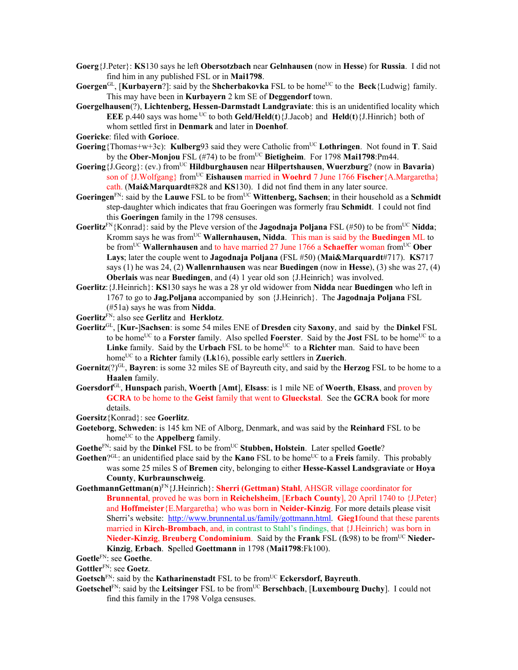- **Goerg**{J.Peter}: **KS**130 says he left **Obersotzbach** near **Gelnhausen** (now in **Hesse**) for **Russia**. I did not find him in any published FSL or in **Mai1798**.
- **Goergen**<sup>GL</sup>, [**Kurbayern**?]: said by the **Shcherbakovka** FSL to be home<sup>UC</sup> to the **Beck**{Ludwig} family. This may have been in **Kurbayern** 2 km SE of **Deggendorf** town.
- **Goergelhausen**(?), **Lichtenberg, Hessen-Darmstadt Landgraviate**: this is an unidentified locality which **EEE** p.440 says was home <sup>UC</sup> to both **Geld/Held**(**t**){J.Jacob} and **Held**(**t**){J.Hinrich} both of whom settled first in **Denmark** and later in **Doenhof**.

**Goericke**: filed with **Gorioce**.

- **Goering**{Thomas+w+3c): **Kulberg**93 said they were Catholic from<sup>UC</sup> Lothringen. Not found in **T**. Said by the **Ober-Monjou** FSL  $(#74)$  to be from<sup>UC</sup> Bietigheim. For 1798 Mai1798:Pm44.
- **Goering**{J.Georg}: (ev.) fromUC **Hildburghausen** near **Hilpertshausen**, **Wuerzburg**? (now in **Bavaria**) son of {J.Wolfgang} from<sup>UC</sup> **Eishausen** married in **Woehrd** 7 June 1766 **Fischer**{A.Margaretha} cath. (**Mai&Marquardt**#828 and **KS**130). I did not find them in any later source.
- **Goeringen**FN: said by the **Lauwe** FSL to be fromUC **Wittenberg, Sachsen**; in their household as a **Schmidt** step-daughter which indicates that frau Goeringen was formerly frau **Schmidt**. I could not find this **Goeringen** family in the 1798 censuses.
- Goerlitz<sup>FN</sup>{Konrad}: said by the Pleve version of the **Jagodnaja Poljana** FSL (#50) to be from<sup>UC</sup> Nidda; Kromm says he was fromUC **Wallernhausen, Nidda**. This man is said by the **Buedingen** ML to be fromUC **Wallernhausen** and to have married 27 June 1766 a **Schaeffer** woman fromUC **Ober Lays**; later the couple went to **Jagodnaja Poljana** (FSL #50) (**Mai&Marquardt**#717). **KS**717 says (1) he was 24, (2) **Wallenrnhausen** was near **Buedingen** (now in **Hesse**), (3) she was 27, (4) **Oberlais** was near **Buedingen**, and (4) 1 year old son {J.Heinrich} was involved.
- **Goerlitz**:{J.Heinrich}: **KS**130 says he was a 28 yr old widower from **Nidda** near **Buedingen** who left in 1767 to go to **Jag.Poljana** accompanied by son {J.Heinrich}. The **Jagodnaja Poljana** FSL (#51a) says he was from **Nidda**.
- **Goerlitz**FN: also see **Gerlitz** and **Herklotz**.
- **Goerlitz**GL, [**Kur-**]**Sachsen**: is some 54 miles ENE of **Dresden** city **Saxony**, and said by the **Dinkel** FSL to be home<sup>UC</sup> to a **Forster** family. Also spelled **Foerster**. Said by the **Jost** FSL to be home<sup>UC</sup> to a **Linke** family. Said by the **Urbach** FSL to be home<sup>UC</sup> to a **Richter** man. Said to have been homeUC to a **Richter** family (**Lk**16), possible early settlers in **Zuerich**.
- **Goernitz**(?)GL, **Bayren**: is some 32 miles SE of Bayreuth city, and said by the **Herzog** FSL to be home to a **Haalen** family.
- **Goersdorf**GL, **Hunspach** parish, **Woerth** [**Amt**], **Elsass**: is 1 mile NE of **Woerth**, **Elsass**, and proven by **GCRA** to be home to the **Geist** family that went to **Glueckstal**. See the **GCRA** book for more details.
- **Goersitz**{Konrad}: see **Goerlitz**.
- **Goeteborg**, **Schweden**: is 145 km NE of Alborg, Denmark, and was said by the **Reinhard** FSL to be home<sup>UC</sup> to the **Appelberg** family.
- **Goethe**FN: said by the **Dinkel** FSL to be fromUC **Stubben, Holstein**. Later spelled **Goetle**?
- **Goethen**?<sup>GL</sup>: an unidentified place said by the **Kano** FSL to be home<sup>UC</sup> to a **Freis** family. This probably was some 25 miles S of **Bremen** city, belonging to either **Hesse-Kassel Landsgraviate** or **Hoya County**, **Kurbraunschweig**.
- **GoethmannGettman**(**n**) FN{J.Heinrich}: **Sherri (Gettman) Stahl**, AHSGR village coordinator for **Brunnental**, proved he was born in **Reichelsheim**, [**Erbach County**], 20 April 1740 to {J.Peter} and **Hoffmeister**{E.Margaretha} who was born in **Neider-Kinzig**. For more details please visit Sherri's website: http://www.brunnental.us/family/gottmann.html. **Gieg1**found that these parents married in **Kirch-Brombach**, and, in contrast to Stahl's findings, that {J.Heinrich} was born in **Nieder-Kinzig, Breuberg Condominium.** Said by the **Frank** FSL (fk98) to be from<sup>UC</sup> Nieder-**Kinzig**, **Erbach**. **S**pelled **Goettmann** in 1798 (**Mai1798**:Fk100).

**Goetle**FN: see **Goethe**.

**Gottler**FN: see **Goetz**.

**Goetsch**<sup>FN</sup>: said by the **Katharinenstadt** FSL to be from<sup>UC</sup> **Eckersdorf, Bayreuth**.

**Goetschel**<sup>FN</sup>: said by the Leitsinger FSL to be from<sup>UC</sup> Berschbach, [Luxembourg Duchy]. I could not find this family in the 1798 Volga censuses.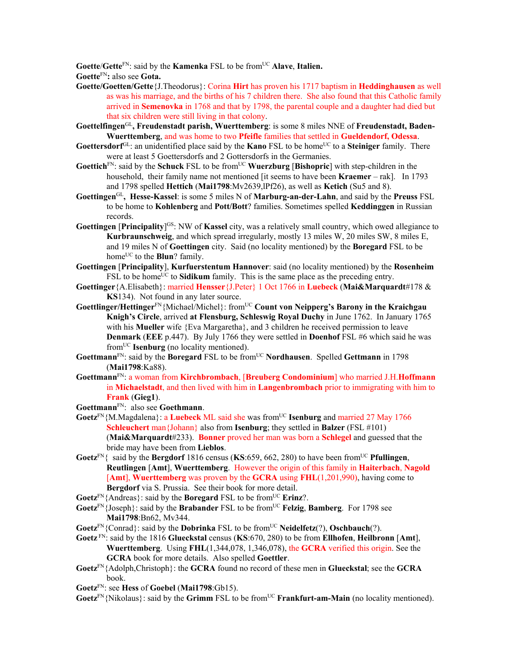**Goette/Gette**<sup>FN</sup>: said by the **Kamenka** FSL to be from<sup>UC</sup> Alave, Italien. **Goette**FN**:** also see **Gota.** 

- **Goette/Goetten/Gette**{J.Theodorus}: Corina **Hirt** has proven his 1717 baptism in **Heddinghausen** as well as was his marriage, and the births of his 7 children there. She also found that this Catholic family arrived in **Semenovka** in 1768 and that by 1798, the parental couple and a daughter had died but that six children were still living in that colony.
- **Goettelfingen**GL**, Freudenstadt parish, Wuerttemberg**: is some 8 miles NNE of **Freudenstadt, Baden-Wuerttemberg**, and was home to two **Pfeifle** families that settled in **Gueldendorf, Odessa**.
- Goettersdorf<sup>GL</sup>: an unidentified place said by the **Kano** FSL to be home<sup>UC</sup> to a **Steiniger** family. There were at least 5 Goettersdorfs and 2 Gottersdorfs in the Germanies.
- **Goettich**<sup>FN</sup>: said by the **Schuck** FSL to be from<sup>UC</sup> Wuerzburg [Bishopric] with step-children in the household, their family name not mentioned [it seems to have been **Kraemer** – rak]. In 1793 and 1798 spelled **Hettich** (**Mai1798**:Mv2639,lPf26), as well as **Ketich** (Su5 and 8).
- **Goettingen**GL**, Hesse-Kassel**: is some 5 miles N of **Marburg-an-der-Lahn**, and said by the **Preuss** FSL to be home to **Kohlenberg** and **Pott/Bott**? families. Sometimes spelled **Keddinggen** in Russian records.
- **Goettingen [Principality]<sup>GS</sup>:** NW of **Kassel** city, was a relatively small country, which owed allegiance to **Kurbraunschweig**, and which spread irregularly, mostly 13 miles W, 20 miles SW, 8 miles E, and 19 miles N of **Goettingen** city. Said (no locality mentioned) by the **Boregard** FSL to be home<sup>UC</sup> to the **Blun**? family.
- **Goettingen** [**Principality**], **Kurfuerstentum Hannover**: said (no locality mentioned) by the **Rosenheim** FSL to be home<sup>UC</sup> to **Sidikum** family. This is the same place as the preceding entry.
- **Goettinger**{A.Elisabeth}: married **Hensser**{J.Peter} 1 Oct 1766 in **Luebeck** (**Mai&Marquardt**#178 & **KS**134). Not found in any later source.
- Goettlinger/Hettinger<sup>FN</sup>{Michael/Michel}: from<sup>UC</sup> Count von Neipperg's Barony in the Kraichgau **Knigh's Circle**, arrived **at Flensburg, Schleswig Royal Duchy** in June 1762. In January 1765 with his **Mueller** wife {Eva Margaretha}, and 3 children he received permission to leave **Denmark** (**EEE** p.447). By July 1766 they were settled in **Doenhof** FSL #6 which said he was fromUC **Isenburg** (no locality mentioned).
- **Goettmann**<sup>FN</sup>: said by the **Boregard** FSL to be from<sup>UC</sup> **Nordhausen**. Spelled Gettmann in 1798 (**Mai1798**:Ka88).
- **Goettmann**FN: a woman from **Kirchbrombach**, [**Breuberg Condominium**] who married J.H.**Hoffmann** in **Michaelstadt**, and then lived with him in **Langenbrombach** prior to immigrating with him to **Frank** (**Gieg1**).
- **Goettmann**FN: also see **Goethmann**.
- Goetz<sup>FN</sup>{M.Magdalena}: a **Luebeck** ML said she was from<sup>UC</sup> **Isenburg** and married 27 May 1766 **Schleuchert** man{Johann} also from **Isenburg**; they settled in **Balzer** (FSL #101) (**Mai&Marquardt**#233). **Bonner** proved her man was born a **Schlegel** and guessed that the bride may have been from **Lieblos**.
- Goetz<sup>FN</sup>{ said by the **Bergdorf** 1816 census (KS:659, 662, 280) to have been from<sup>UC</sup> **Pfullingen**, **Reutlingen** [**Amt**], **Wuerttemberg**. However the origin of this family in **Haiterbach**, **Nagold** [**Amt**], **Wuerttemberg** was proven by the **GCRA** using **FHL**(1,201,990), having come to **Bergdorf** via S. Prussia. See their book for more detail.
- Goetz<sup>FN</sup>{Andreas}: said by the **Boregard** FSL to be from<sup>UC</sup> **Erinz**?.
- **Goetz**<sup>FN</sup>{Joseph}: said by the **Brabander** FSL to be from<sup>UC</sup> **Felzig**, **Bamberg**. For 1798 see **Mai1798**:Bn62, Mv344.
- Goetz<sup>FN</sup>{Conrad}: said by the **Dobrinka** FSL to be from<sup>UC</sup> **Neidelfetz**(?), **Oschbauch**(?).
- **Goetz** FN: said by the 1816 **Glueckstal** census (**KS**:670, 280) to be from **Ellhofen**, **Heilbronn** [**Amt**], **Wuerttemberg**. Using **FHL**(1,344,078, 1,346,078), the **GCRA** verified this origin. See the **GCRA** book for more details. Also spelled **Goettler**.
- **Goetz**FN{Adolph,Christoph}: the **GCRA** found no record of these men in **Glueckstal**; see the **GCRA** book.
- **Goetz**FN: see **Hess** of **Goebel** (**Mai1798**:Gb15).
- **Goetz**<sup>FN</sup>{Nikolaus}: said by the **Grimm** FSL to be from<sup>UC</sup> **Frankfurt-am-Main** (no locality mentioned).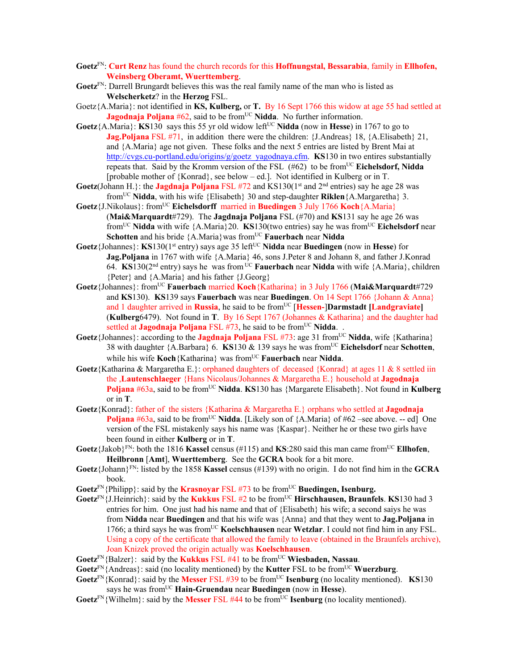- **Goetz**FN: **Curt Renz** has found the church records for this **Hoffnungstal, Bessarabia**, family in **Ellhofen, Weinsberg Oberamt, Wuerttemberg**.
- Goetz<sup>FN</sup>: Darrell Brungardt believes this was the real family name of the man who is listed as **Welscherketz**? in the **Herzog** FSL.
- Goetz{A.Maria}: not identified in **KS, Kulberg,** or **T.** By 16 Sept 1766 this widow at age 55 had settled at **Jagodnaja Poljana** #62, said to be from<sup>UC</sup> Nidda. No further information.
- **Goetz** $\{A.Maria\}$ : **KS**130 says this 55 yr old widow left<sup>UC</sup> **Nidda** (now in **Hesse**) in 1767 to go to **Jag.Poljana** FSL #71, in addition there were the children: {J.Andreas} 18, {A.Elisabeth} 21, and {A.Maria} age not given. These folks and the next 5 entries are listed by Brent Mai at http://cvgs.cu-portland.edu/origins/g/goetz\_yagodnaya.cfm. **KS**130 in two entires substantially repeats that. Said by the Kromm version of the FSL (#62) to be from<sup>UC</sup> Eichelsdorf, Nidda [probable mother of {Konrad}, see below – ed.]. Not identified in Kulberg or in T.
- Goetz(Johann H.): the **Jagdnaja Poljana** FSL #72 and KS130(1<sup>st</sup> and 2<sup>nd</sup> entries) say he age 28 was fromUC **Nidda**, with his wife {Elisabeth} 30 and step-daughter **Riklen**{A.Margaretha} 3.
- **Goetz**{J.Nikolaus}: fromUC **Eichelsdorff** married in **Buedingen** 3 July 1766 **Koch**{A.Maria} (**Mai&Marquardt**#729). The **Jagdnaja Poljana** FSL (#70) and **KS**131 say he age 26 was fromUC **Nidda** with wife {A.Maria}20. **KS**130(two entries) say he was fromUC **Eichelsdorf** near **Schotten** and his bride {A.Maria}was from<sup>UC</sup> **Fauerbach** near **Nidda**
- **Goetz**{Johannes}: **KS**130(1<sup>st</sup> entry) says age 35 left<sup>UC</sup> Nidda near Buedingen (now in Hesse) for **Jag.Poljana** in 1767 with wife {A.Maria} 46, sons J.Peter 8 and Johann 8, and father J.Konrad 64. **KS**130( $2^{nd}$  entry) says he was from <sup>UC</sup> **Fauerbach** near **Nidda** with wife {A.Maria}, children {Peter} and {A.Maria} and his father {J.Georg}
- **Goetz**{Johannes}: fromUC **Fauerbach** married **Koch**{Katharina} in 3 July 1766 (**Mai&Marquardt**#729 and **KS**130). **KS**139 says **Fauerbach** was near **Buedingen**. On 14 Sept 1766 {Johann & Anna} and 1 daughter arrived in Russia, he said to be from<sup>UC</sup> [Hessen-]Darmstadt [Landgraviate] (**Kulberg**6479). Not found in **T**. By 16 Sept 1767 (Johannes & Katharina} and the daughter had settled at **Jagodnaja Poljana** FSL #73, he said to be from<sup>UC</sup> Nidda...
- **Goetz**{Johannes}: according to the **Jagdnaja Poljana** FSL #73: age 31 from<sup>UC</sup> Nidda, wife {Katharina} 38 with daughter {A.Barbara} 6. **KS**130 & 139 says he was fromUC **Eichelsdorf** near **Schotten**, while his wife **Koch** {Katharina} was from<sup>UC</sup> **Fauerbach** near **Nidda**.
- **Goetz**{Katharina & Margaretha E.}: orphaned daughters of deceased {Konrad} at ages 11 & 8 settled iin the ,**Lautenschlaeger** {Hans Nicolaus/Johannes & Margaretha E.} household at **Jagodnaja Poljana** #63a, said to be from<sup>UC</sup> Nidda. **KS**130 has {Margarete Elisabeth}. Not found in **Kulberg** or in **T**.
- **Goetz**{Konrad}: father of the sisters {Katharina & Margaretha E.} orphans who settled at **Jagodnaja Poljana** #63a, said to be from<sup>UC</sup> **Nidda**. [Likely son of  $\{A.Maria\}$  of #62 –see above. -- ed] One version of the FSL mistakenly says his name was {Kaspar}. Neither he or these two girls have been found in either **Kulberg** or in **T**.
- **Goetz**{Jakob}<sup>FN</sup>: both the 1816 **Kassel** census (#115) and **KS**:280 said this man came from<sup>UC</sup> Ellhofen. **Heilbronn** [**Amt**], **Wuerttemberg**. See the **GCRA** book for a bit more.
- **Goetz**{Johann}FN: listed by the 1858 **Kassel** census (#139) with no origin. I do not find him in the **GCRA** book.
- **Goetz**<sup>FN</sup>{Philipp}: said by the **Krasnovar** FSL #73 to be from<sup>UC</sup> Buedingen, Isenburg.
- **Goetz**FN{J.Heinrich}: said by the **Kukkus** FSL #2 to be fromUC **Hirschhausen, Braunfels**. **KS**130 had 3 entries for him. One just had his name and that of {Elisabeth} his wife; a second saivs he was from **Nidda** near **Buedingen** and that his wife was {Anna} and that they went to **Jag.Poljana** in 1766; a third says he was fromUC **Koelschhausen** near **Wetzlar**. I could not find him in any FSL. Using a copy of the certificate that allowed the family to leave (obtained in the Braunfels archive), Joan Knizek proved the origin actually was **Koelschhausen**.
- Goetz<sup>FN</sup>{Balzer}: said by the **Kukkus** FSL #41 to be from<sup>UC</sup> Wiesbaden, Nassau.
- Goetz<sup>FN</sup>{Andreas}: said (no locality mentioned) by the **Kutter** FSL to be from<sup>UC</sup> Wuerzburg.
- **Goetz**FN{Konrad}: said by the **Messer** FSL #39 to be fromUC **Isenburg** (no locality mentioned). **KS**130 says he was fromUC **Hain-Gruendau** near **Buedingen** (now in **Hesse**).
- Goetz<sup>FN</sup>{Wilhelm}: said by the **Messer** FSL #44 to be from<sup>UC</sup> **Isenburg** (no locality mentioned).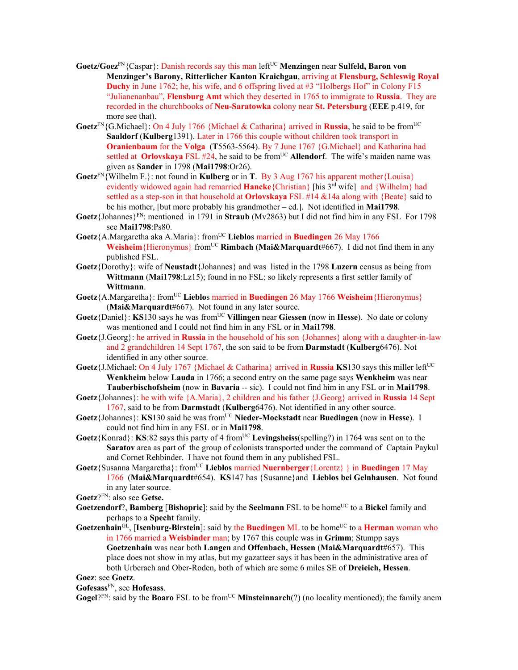- Goetz/Goez<sup>FN</sup>{Caspar}: Danish records say this man left<sup>UC</sup> Menzingen near Sulfeld, Baron von **Menzinger's Barony, Ritterlicher Kanton Kraichgau**, arriving at **Flensburg, Schleswig Royal Duchy** in June 1762; he, his wife, and 6 offspring lived at #3 "Holbergs Hof" in Colony F15 "Julianenanbau", **Flensburg Amt** which they deserted in 1765 to immigrate to **Russia**. They are recorded in the churchbooks of **Neu-Saratowka** colony near **St. Petersburg** (**EEE** p.419, for more see that).
- Goetz<sup>FN</sup>{G.Michael}: On 4 July 1766 {Michael & Catharina} arrived in **Russia**, he said to be from<sup>UC</sup> **Saaldorf** (**Kulberg**1391). Later in 1766 this couple without children took transport in **Oranienbaum** for the **Volga** (**T**5563-5564). By 7 June 1767 {G.Michael} and Katharina had settled at **Orlovskaya** FSL #24, he said to be from<sup>UC</sup> Allendorf. The wife's maiden name was given as **Sander** in 1798 (**Mai1798**:Or26).
- Goetz<sup>FN</sup>{Wilhelm F.}: not found in **Kulberg** or in **T**. By 3 Aug 1767 his apparent mother{Louisa} evidently widowed again had remarried **Hancke**{Christian} [his 3<sup>rd</sup> wife] and {Wilhelm} had settled as a step-son in that household at **Orlovskaya** FSL #14 &14a along with {Beate} said to be his mother, [but more probably his grandmother – ed.]. Not identified in **Mai1798**.
- **Goetz**{Johannes}FN: mentioned in 1791 in **Straub** (Mv2863) but I did not find him in any FSL For 1798 see **Mai1798**:Ps80.
- Goetz{A.Margaretha aka A.Maria}: from<sup>UC</sup> Lieblos married in Buedingen 26 May 1766 **Weisheim**{Hieronymus} from<sup>UC</sup> **Rimbach** (Mai&Marquardt#667). I did not find them in any published FSL.
- **Goetz**{Dorothy}: wife of **Neustadt**{Johannes} and was listed in the 1798 **Luzern** census as being from **Wittmann** (**Mai1798**:Lz15); found in no FSL; so likely represents a first settler family of **Wittmann**.
- **Goetz**{A.Margaretha}: fromUC **Lieblo**s married in **Buedingen** 26 May 1766 **Weisheim**{Hieronymus} (**Mai&Marquardt**#667). Not found in any later source.
- **Goetz**{Daniel}: **KS**130 says he was from<sup>UC</sup> **Villingen** near **Giessen** (now in **Hesse**). No date or colony was mentioned and I could not find him in any FSL or in **Mai1798**.
- Goetz $\{J.Georg\}$ : he arrived in **Russia** in the household of his son  $\{Johannes\}$  along with a daughter-in-law and 2 grandchildren 14 Sept 1767, the son said to be from **Darmstadt** (**Kulberg**6476). Not identified in any other source.
- **Goetz**{J.Michael: On 4 July 1767 {Michael & Catharina} arrived in **Russia KS**130 says this miller left<sup>UC</sup> **Wenkheim** below **Lauda** in 1766; a second entry on the same page says **Wenkheim** was near **Tauberbischofsheim** (now in **Bavaria** -- sic). I could not find him in any FSL or in **Mai1798**.
- **Goetz**{Johannes}: he with wife {A.Maria}, 2 children and his father {J.Georg} arrived in **Russia** 14 Sept 1767, said to be from **Darmstadt** (**Kulberg**6476). Not identified in any other source.
- **Goetz**{Johannes}: **KS**130 said he was from<sup>UC</sup> Nieder-Mockstadt near Buedingen (now in Hesse). I could not find him in any FSL or in **Mai1798**.
- Goetz{Konrad}: KS:82 says this party of 4 from<sup>UC</sup> Levingsheiss(spelling?) in 1764 was sent on to the **Saratov** area as part of the group of colonists transported under the command of Captain Paykul and Cornet Rehbinder. I have not found them in any published FSL.
- **Goetz**{Susanna Margaretha}: fromUC **Lieblos** married **Nuernberger**{Lorentz} } in **Buedingen** 17 May 1766 (**Mai&Marquardt**#654). **KS**147 has {Susanne}and **Lieblos bei Gelnhausen**. Not found in any later source.

**Goetz**?FN: also see **Getse.**

- **Goetzendorf**?, **Bamberg** [Bishopric]: said by the **Seelmann** FSL to be home<sup>UC</sup> to a Bickel family and perhaps to a **Specht** family.
- **Goetzenhain**<sup>GL</sup>, [Isenburg-Birstein]: said by the Buedingen ML to be home<sup>UC</sup> to a Herman woman who in 1766 married a **Weisbinder** man; by 1767 this couple was in **Grimm**; Stumpp says **Goetzenhain** was near both **Langen** and **Offenbach, Hessen** (**Mai&Marquardt**#657). This place does not show in my atlas, but my gazatteer says it has been in the administrative area of both Urberach and Ober-Roden, both of which are some 6 miles SE of **Dreieich, Hessen**.

**Goez**: see **Goetz**.

**Gofesass**FN, see **Hofesass**.

**Gogel**?<sup>FN</sup>: said by the **Boaro** FSL to be from<sup>UC</sup> **Minsteinnarch**(?) (no locality mentioned); the family anem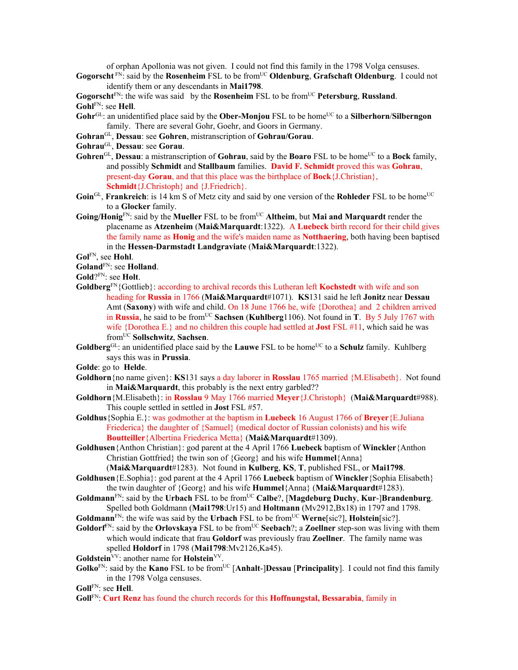of orphan Apollonia was not given. I could not find this family in the 1798 Volga censuses.

**Gogorscht** FN: said by the **Rosenheim** FSL to be fromUC **Oldenburg**, **Grafschaft Oldenburg**. I could not identify them or any descendants in **Mai1798**.

**Gogorscht**<sup>FN</sup>: the wife was said by the **Rosenheim** FSL to be from<sup>UC</sup> **Petersburg**, **Russland**. **Gohl**FN: see **Hell**.

- Gohr<sup>GL</sup>: an unidentified place said by the **Ober-Monjou** FSL to be home<sup>UC</sup> to a **Silberhorn/Silberngon** family. There are several Gohr, Goehr, and Goors in Germany.
- **Gohran**GL, **Dessau**: see **Gohren**, mistranscription of **Gohrau/Gorau**.
- **Gohrau**GL, **Dessau**: see **Gorau**.
- Gohran<sup>GL</sup>, **Dessau**: a mistranscription of **Gohrau**, said by the **Boaro** FSL to be home<sup>UC</sup> to a **Bock** family, and possibly **Schmidt** and **Stallbaum** families. **David F. Schmidt** proved this was **Gohrau**, present-day **Gorau**, and that this place was the birthplace of **Bock**{J.Christian}, **Schmidt**{J.Christoph} and {J.Friedrich}.
- Goin<sup>GL</sup>, Frankreich: is 14 km S of Metz city and said by one version of the **Rohleder** FSL to be home<sup>UC</sup> to a **Glocker** family.
- Going/Honig<sup>FN</sup>: said by the Mueller FSL to be from<sup>UC</sup> Altheim, but Mai and Marquardt render the placename as **Atzenheim** (**Mai&Marquardt**:1322). A **Luebeck** birth record for their child gives the family name as **Honig** and the wife's maiden name as **Notthaering**, both having been baptised in the **Hessen-Darmstadt Landgraviate** (**Mai&Marquardt**:1322).

- **Goldberg**FN{Gottlieb}: according to archival records this Lutheran left **Kochstedt** with wife and son heading for **Russia** in 1766 (**Mai&Marquardt**#1071). **KS**131 said he left **Jonitz** near **Dessau** Amt (**Saxony**) with wife and child. On 18 June 1766 he, wife {Dorothea} and 2 children arrived in **Russia**, he said to be from<sup>UC</sup> Sachsen (**Kuhlberg**1106). Not found in **T**. By 5 July 1767 with wife {Dorothea E.} and no children this couple had settled at **Jost** FSL #11, which said he was fromUC **Sollschwitz**, **Sachsen**.
- **Goldberg**<sup>GL</sup>: an unidentified place said by the **Lauwe** FSL to be home<sup>UC</sup> to a **Schulz** family. Kuhlberg says this was in **Prussia**.
- **Golde**: go to **Helde**.
- **Goldhorn**{no name given}: **KS**131 says a day laborer in **Rosslau** 1765 married {M.Elisabeth}. Not found in **Mai&Marquardt**, this probably is the next entry garbled??
- **Goldhorn**{M.Elisabeth}: in **Rosslau** 9 May 1766 married **Meyer**{J.Christoph} (**Mai&Marquardt**#988). This couple settled in settled in **Jost** FSL #57.
- **Goldhus**{Sophia E.}: was godmother at the baptism in **Luebeck** 16 August 1766 of **Breyer**{E.Juliana Friederica} the daughter of {Samuel} (medical doctor of Russian colonists) and his wife **Boutteiller**{Albertina Friederica Metta} (**Mai&Marquardt**#1309).
- **Goldhusen**{Anthon Christian}: god parent at the 4 April 1766 **Luebeck** baptism of **Winckler**{Anthon Christian Gottfried} the twin son of {Georg} and his wife **Hummel**{Anna}
- (**Mai&Marquardt**#1283). Not found in **Kulberg**, **KS**, **T**, published FSL, or **Mai1798**. **Goldhusen**{E.Sophia}: god parent at the 4 April 1766 **Luebeck** baptism of **Winckler**{Sophia Elisabeth}
	- the twin daughter of {Georg} and his wife **Hummel**{Anna} (**Mai&Marquardt**#1283).
- Goldmann<sup>FN</sup>: said by the Urbach FSL to be from<sup>UC</sup> Calbe?, [Magdeburg Duchy, Kur-]Brandenburg. Spelled both Goldmann (**Mai1798**:Ur15) and **Holtmann** (Mv2912,Bx18) in 1797 and 1798.
- Goldmann<sup>FN</sup>: the wife was said by the **Urbach** FSL to be from<sup>UC</sup> **Werne**[sic?], **Holstein**[sic?].
- Goldorf<sup>FN</sup>: said by the **Orlovskaya** FSL to be from<sup>UC</sup> Seebach?; a Zoellner step-son was living with them which would indicate that frau **Goldorf** was previously frau **Zoellner**. The family name was spelled **Holdorf** in 1798 (**Mai1798**:Mv2126,Ka45).

Goldstein<sup>VV</sup>: another name for **Holstein**<sup>VV</sup>.

**Golko**FN: said by the **Kano** FSL to be fromUC [**Anhalt**-]**Dessau** [**Principality**]. I could not find this family in the 1798 Volga censuses.

**Goll**FN: see **Hell**.

**Goll**FN: **Curt Renz** has found the church records for this **Hoffnungstal, Bessarabia**, family in

**Gol**FN, see **Hohl**.

**Goland**FN: see **Holland**.

**Gold**?FN: see **Holt**.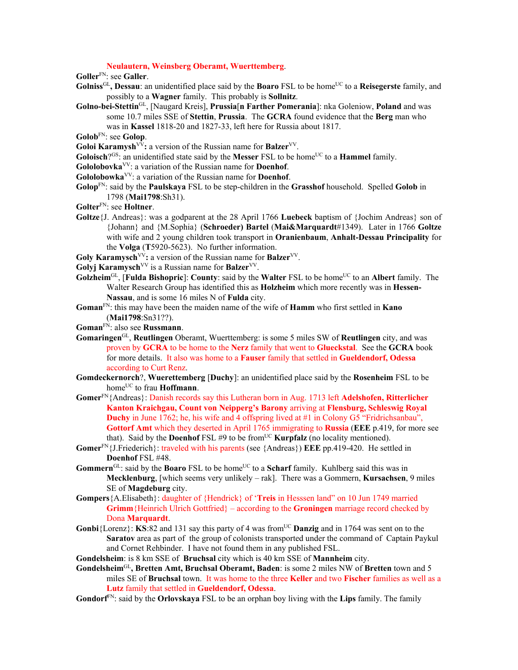## **Neulautern, Weinsberg Oberamt, Wuerttemberg**.

**Goller**FN: see **Galler**.

- **Golniss**<sup>GL</sup>, **Dessau**: an unidentified place said by the **Boaro** FSL to be home<sup>UC</sup> to a **Reisegerste** family, and possibly to a **Wagner** family. This probably is **Sollnitz**.
- **Golno-bei-Stettin**GL, [Naugard Kreis], **Prussia**[**n Farther Pomerania**]: nka Goleniow, **Poland** and was some 10.7 miles SSE of **Stettin**, **Prussia**. The **GCRA** found evidence that the **Berg** man who was in **Kassel** 1818-20 and 1827-33, left here for Russia about 1817.
- **Golob**FN: see **Golop**.
- Goloi Karamysh<sup>VV</sup>: a version of the Russian name for Balzer<sup>VV</sup>.
- Goloisch<sup>?GS</sup>: an unidentified state said by the Messer FSL to be home<sup>UC</sup> to a **Hammel** family.

**Gololobovka**VV: a variation of the Russian name for **Doenhof**.

- **Gololobowka**VV: a variation of the Russian name for **Doenhof**.
- **Golop**FN: said by the **Paulskaya** FSL to be step-children in the **Grasshof** household. Spelled **Golob** in 1798 (**Mai1798**:Sh31).
- **Golter**FN: see **Holtner**.
- **Goltze**{J. Andreas}: was a godparent at the 28 April 1766 **Luebeck** baptism of {Jochim Andreas} son of {Johann} and {M.Sophia} (**Schroeder) Bartel** (**Mai&Marquardt**#1349). Later in 1766 **Goltze** with wife and 2 young children took transport in **Oranienbaum**, **Anhalt-Dessau Principality** for the **Volga** (**T**5920-5623). No further information.
- **Goly Karamysch<sup>VV</sup>: a version of the Russian name for <b>Balzer**<sup>VV</sup>.
- Golyj Karamysch<sup>VV</sup> is a Russian name for Balzer<sup>VV</sup>.
- **Golzheim**<sup>GL</sup>, [**Fulda Bishopric**]: **County**: said by the **Walter** FSL to be home<sup>UC</sup> to an **Albert** family. The Walter Research Group has identified this as **Holzheim** which more recently was in **Hessen-Nassau**, and is some 16 miles N of **Fulda** city.
- **Goman**FN: this may have been the maiden name of the wife of **Hamm** who first settled in **Kano** (**Mai1798**:Sn31??).
- **Goman**FN: also see **Russmann**.
- **Gomaringen**GL, **Reutlingen** Oberamt, Wuerttemberg: is some 5 miles SW of **Reutlingen** city, and was proven by **GCRA** to be home to the **Nerz** family that went to **Glueckstal**. See the **GCRA** book for more details. It also was home to a **Fauser** family that settled in **Gueldendorf, Odessa** according to Curt Renz.
- **Gomdeckernorch**?, **Wuerettemberg** [**Duchy**]: an unidentified place said by the **Rosenheim** FSL to be home<sup>UC</sup> to frau **Hoffmann**.
- **Gomer**FN{Andreas}: Danish records say this Lutheran born in Aug. 1713 left **Adelshofen, Ritterlicher Kanton Kraichgau, Count von Neipperg's Barony** arriving at **Flensburg, Schleswig Royal Duchy** in June 1762; he, his wife and 4 offspring lived at #1 in Colony G5 "Fridrichsanbau", **Gottorf Amt** which they deserted in April 1765 immigrating to **Russia** (**EEE** p.419, for more see that). Said by the **Doenhof** FSL #9 to be from<sup>UC</sup> **Kurpfalz** (no locality mentioned).
- **Gomer**FN{J.Friederich}: traveled with his parents (see {Andreas}) **EEE** pp.419-420. He settled in **Doenhof** FSL #48.
- **Gommern**<sup>GL</sup>: said by the **Boaro** FSL to be home<sup>UC</sup> to a **Scharf** family. Kuhlberg said this was in **Mecklenburg**, [which seems very unlikely – rak]. There was a Gommern, **Kursachsen**, 9 miles SE of **Magdeburg** city.
- **Gompers**{A.Elisabeth}: daughter of {Hendrick} of '**Treis** in Hesssen land" on 10 Jun 1749 married **Grimm**{Heinrich Ulrich Gottfried} – according to the **Groningen** marriage record checked by Dona **Marquardt**.
- **Gonbi**{Lorenz}: **KS**:82 and 131 say this party of 4 was from<sup>UC</sup> **Danzig** and in 1764 was sent on to the **Saratov** area as part of the group of colonists transported under the command of Captain Paykul and Cornet Rehbinder. I have not found them in any published FSL.
- **Gondelsheim**: is 8 km SSE of **Bruchsal** city which is 40 km SSE of **Mannheim** city.
- **Gondelsheim**GL**, Bretten Amt, Bruchsal Oberamt, Baden**: is some 2 miles NW of **Bretten** town and 5 miles SE of **Bruchsal** town. It was home to the three **Keller** and two **Fischer** families as well as a **Lutz** family that settled in **Gueldendorf, Odessa**.
- Gondorf<sup>FN</sup>: said by the **Orlovskaya** FSL to be an orphan boy living with the Lips family. The family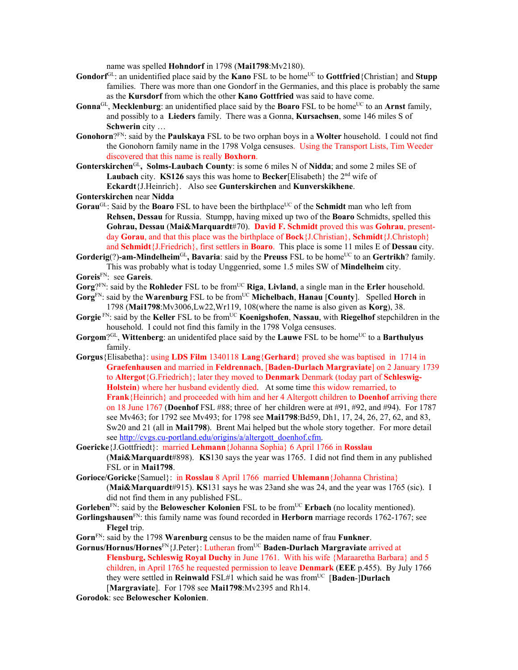name was spelled **Hohndorf** in 1798 (**Mai1798**:Mv2180).

- **Gondorf**GL: an unidentified place said by the **Kano** FSL to be homeUC to **Gottfried**{Christian} and **Stupp** families. There was more than one Gondorf in the Germanies, and this place is probably the same as the **Kursdorf** from which the other **Kano Gottfried** was said to have come.
- **Gonna**<sup>GL</sup>, **Mecklenburg**: an unidentified place said by the **Boaro** FSL to be home<sup>UC</sup> to an **Arnst** family, and possibly to a **Lieders** family. There was a Gonna, **Kursachsen**, some 146 miles S of **Schwerin** city …
- **Gonohorn**?FN: said by the **Paulskaya** FSL to be two orphan boys in a **Wolter** household. I could not find the Gonohorn family name in the 1798 Volga censuses. Using the Transport Lists, Tim Weeder discovered that this name is really **Boxhorn**.
- **Gonterskirchen**GL**, Solms-Laubach County**: is some 6 miles N of **Nidda**; and some 2 miles SE of Laubach city. **KS126** says this was home to **Becker**[Elisabeth} the 2<sup>nd</sup> wife of **Eckardt**{J.Heinrich}. Also see **Gunterskirchen** and **Kunverskikhene**.

**Gonterskirchen** near **Nidda**

Gorau<sup>GL</sup>: Said by the **Boaro** FSL to have been the birthplace<sup>UC</sup> of the **Schmidt** man who left from **Rehsen, Dessau** for Russia. Stumpp, having mixed up two of the **Boaro** Schmidts, spelled this **Gohrau, Dessau** (**Mai&Marquardt**#70). **David F. Schmidt** proved this was **Gohrau**, presentday **Gorau**, and that this place was the birthplace of **Bock**{J.Christian}, **Schmidt**{J.Christoph} and **Schmidt**{J.Friedrich}, first settlers in **Boaro**. This place is some 11 miles E of **Dessau** city.

**Gorderig**(?)-am-Mindelheim<sup>GL</sup>, Bavaria: said by the **Preuss** FSL to be home<sup>UC</sup> to an **Gertrikh**? family. This was probably what is today Unggenried, some 1.5 miles SW of **Mindelheim** city.

**Goreis**FN: see **Gareis**.

- Gorg<sup>?FN</sup>: said by the **Rohleder** FSL to be from<sup>UC</sup> **Riga**, **Livland**, a single man in the **Erler** household.
- **Gorg**FN: said by the **Warenburg** FSL to be fromUC **Michelbach**, **Hanau** [**County**]. Spelled **Horch** in 1798 (**Mai1798**:Mv3006,Lw22,Wr119, 108(where the name is also given as **Korg**), 38.
- **Gorgie**<sup>FN</sup>: said by the **Keller** FSL to be from<sup>UC</sup> **Koenigshofen**, **Nassau**, with **Riegelhof** stepchildren in the household. I could not find this family in the 1798 Volga censuses.
- **Gorgom**?<sup>GL</sup>, Wittenberg: an unidentifed place said by the **Lauwe** FSL to be home<sup>UC</sup> to a **Barthulyus** family.
- **Gorgus**{Elisabetha}: using **LDS Film** 1340118 **Lang**{**Gerhard**} proved she was baptised in 1714 in **Graefenhausen** and married in **Feldrennach**, [**Baden-Durlach Margraviate**] on 2 January 1739 to **Altergot**{G.Friedrich}; later they moved to **Denmark** Denmark (today part of **Schleswig-Holstein**) where her husband evidently died. At some time this widow remarried, to **Frank**{Heinrich} and proceeded with him and her 4 Altergott children to **Doenhof** arriving there on 18 June 1767 (**Doenhof** FSL #88; three of her children were at #91, #92, and #94). For 1787 see Mv463; for 1792 see Mv493; for 1798 see **Mai1798**:Bd59, Dh1, 17, 24, 26, 27, 62, and 83, Sw20 and 21 (all in **Mai1798**). Brent Mai helped but the whole story together. For more detail see http://cvgs.cu-portland.edu/origins/a/altergott\_doenhof.cfm.
- **Goericke**{J.Gottfriedt}: married **Lehmann**{Johanna Sophia} 6 April 1766 in **Rosslau** (**Mai&Marquardt**#898). **KS**130 says the year was 1765. I did not find them in any published FSL or in **Mai1798**.
- **Gorioce/Goricke**{Samuel}: in **Rosslau** 8 April 1766 married **Uhlemann**{Johanna Christina} (**Mai&Marquardt**#915). **KS**131 says he was 23and she was 24, and the year was 1765 (sic). I did not find them in any published FSL.
- **Gorleben**FN: said by the **Belowescher Kolonien** FSL to be fromUC **Erbach** (no locality mentioned).
- **Gorlingshausen**FN: this family name was found recorded in **Herborn** marriage records 1762-1767; see **Flegel** trip.
- **Gorn**FN: said by the 1798 **Warenburg** census to be the maiden name of frau **Funkner**.

**Gornus/Hornus/Hornes**FN{J.Peter}: Lutheran fromUC **Baden-Durlach Margraviate** arrived at **Flensburg, Schleswig Royal Duchy** in June 1761. With his wife {Maraaretha Barbara} and 5 children, in April 1765 he requested permission to leave **Denmark** (**EEE** p.455). By July 1766 they were settled in **Reinwald** FSL#1 which said he was from<sup>UC</sup> [**Baden-**]Durlach [**Margraviate**]. For 1798 see **Mai1798**:Mv2395 and Rh14.

**Gorodok**: see **Belowescher Kolonien**.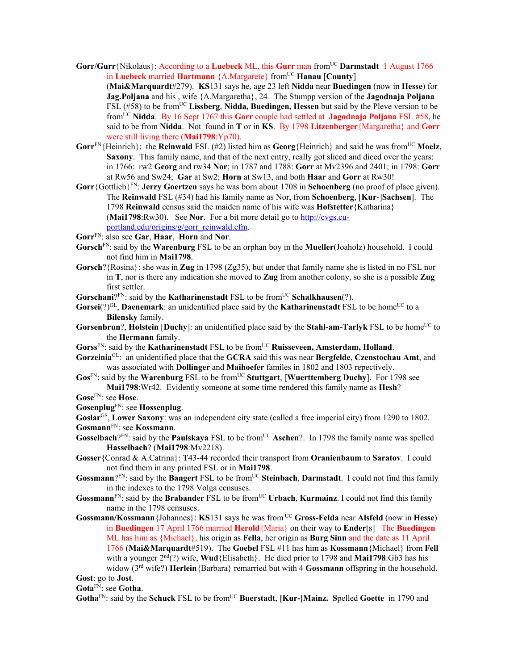- **Gorr/Gurr**{Nikolaus}: According to a **Luebeck** ML, this **Gurr** man from<sup>UC</sup> **Darmstadt** 1 August 1766 in Luebeck married Hartmann {A.Margarete} from<sup>UC</sup> Hanau [County] (**Mai&Marquardt**#279). **KS**131 says he, age 23 left **Nidda** near **Buedingen** (now in **Hesse**) for **Jag.Poljana** and his , wife {A.Margaretha}, 24 The Stumpp version of the **Jagodnaja Poljana**  FSL (#58) to be fromUC **Lissberg**, **Nidda, Buedingen, Hessen** but said by the Pleve version to be fromUC **Nidda**. By 16 Sept 1767 this **Gorr** couple had settled at **Jagodnaja Poljana** FSL #58, he said to be from **Nidda**. Not found in **T** or in **KS**. By 1798 **Litzenberger**{Margaretha} and **Gorr**  were still living there (**Mai1798**:Yp70).
- **Gorr**<sup>FN</sup>{Heinrich}: the **Reinwald** FSL (#2) listed him as **Georg**{Heinrich} and said he was from<sup>UC</sup> Moelz, **Saxony**. This family name, and that of the next entry, really got sliced and diced over the years: in 1766: rw2 **Georg** and rw34 **Nor**; in 1787 and 1788: **Gorr** at Mv2396 and 2401; in 1798: **Gorr** at Rw56 and Sw24; **Gar** at Sw2; **Horn** at Sw13, and both **Haar** and **Gorr** at Rw30!
- **Gorr**{Gottlieb}FN: **Jerry Goertzen** says he was born about 1708 in **Schoenberg** (no proof of place given). The **Reinwald** FSL (#34) had his family name as Nor, from **Schoenberg**, [**Kur**-]**Sachsen**]. The 1798 **Reinwald** census said the maiden name of his wife was **Hofstetter**{Katharina} (**Mai1798**:Rw30). See **Nor**. For a bit more detail go to http://cvgs.cuportland.edu/origins/g/gorr\_reinwald.cfm.

**Gorr**FN: also see **Gar**, **Haar**, **Horn** and **Nor**.

- **Gorsch**FN: said by the **Warenburg** FSL to be an orphan boy in the **Mueller**(Joaholz) household. I could not find him in **Mai1798**.
- **Gorsch**?{Rosina}: she was in **Zug** in 1798 (Zg35), but under that family name she is listed in no FSL nor in **T**, nor is there any indication she moved to **Zug** from another colony, so she is a possible **Zug** first settler.
- **Gorschani**?<sup>FN</sup>: said by the **Katharinenstadt** FSL to be from<sup>UC</sup> **Schalkhausen**(?).
- **Gorsei**(?)<sup>GL</sup>, **Daenemark**: an unidentified place said by the **Katharinenstadt** FSL to be home<sup>UC</sup> to a **Bilensky** family.
- **Gorsenbrun**?, **Holstein** [Duchy]: an unidentified place said by the **Stahl-am-Tarlyk** FSL to be home<sup>UC</sup> to the **Hermann** family.
- Gorss<sup>FN</sup>: said by the **Katharinenstadt** FSL to be from<sup>UC</sup> **Ruisseveen, Amsterdam, Holland**.
- **Gorzeinia**GL: an unidentified place that the **GCRA** said this was near **Bergfelde**, **Czenstochau Amt**, and was associated with **Dollinger** and **Maihoefer** familes in 1802 and 1803 repectively.
- Gos<sup>FN</sup>: said by the **Warenburg** FSL to be from<sup>UC</sup> Stuttgart, [Wuerttemberg Duchy]. For 1798 see **Mai1798**:Wr42. Evidently someone at some time rendered this family name as **Hesh**?

**Gose**FN: see **Hose**.

**Gosenplug**FN: see **Hossenplug**.

**Goslar**GS, **Lower Saxony**: was an independent city state (called a free imperial city) from 1290 to 1802. **Gosmann**FN: see **Kossmann**.

- **Gosselbach**?FN: said by the **Paulskaya** FSL to be from<sup>UC</sup> **Aschen**?. In 1798 the family name was spelled **Hasselbach**? (**Mai1798**:Mv2218).
- **Gosser**{Conrad & A.Catrina}: **T**43-44 recorded their transport from **Oranienbaum** to **Saratov**. I could not find them in any printed FSL or in **Mai1798**.
- **Gossmann**?<sup>FN</sup>: said by the **Bangert** FSL to be from<sup>UC</sup> Steinbach, Darmstadt. I could not find this family in the indexes to the 1798 Volga censuses.
- **Gossmann**FN: said by the **Brabander** FSL to be fromUC **Urbach**, **Kurmainz**. I could not find this family name in the 1798 censuses.
- **Gossmann/Kossmann**{Johannes}: **KS**131 says he was from UC **Gross-Felda** near **Alsfeld** (now in **Hesse**) in **Buedingen** 17 April 1766 married **Herold**{Maria} on their way to **Ender**[s] The **Buedingen** ML has him as {Michael}, his origin as **Fella**, her origin as **Burg Sinn** and the date as 11 April 1766 (**Mai&Marquardt**#519). The **Goebel** FSL #11 has him as **Kossmann**{Michael} from **Fell**  with a younger 2nd(?) wife, **Wud**{Elisabeth}. He died prior to 1798 and **Mai1798**:Gb3 has his widow (3rd wife?) **Herlein**{Barbara} remarried but with 4 **Gossmann** offspring in the household.

**Gost**: go to **Jost**.

**Gota**FN: see **Gotha**.

**Gotha**<sup>FN</sup>: said by the **Schuck** FSL to be from<sup>UC</sup> **Buerstadt**, **[Kur-]Mainz.** Spelled Goette in 1790 and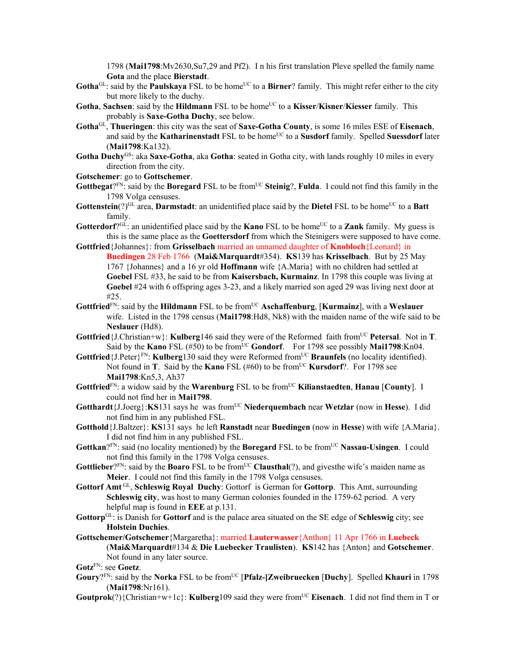1798 (**Mai1798**:Mv2630,Su7,29 and Pf2). I n his first translation Pleve spelled the family name **Gota** and the place **Bierstadt**.

- **Gotha**<sup>GL</sup>: said by the **Paulskaya** FSL to be home<sup>UC</sup> to a **Birner**? family. This might refer either to the city but more likely to the duchy.
- **Gotha**, **Sachsen**: said by the **Hildmann** FSL to be home<sup>UC</sup> to a **Kisser/Kisner/Kiesser** family. This probably is **Saxe-Gotha Duchy**, see below.
- **Gotha**GL, **Thueringen**: this city was the seat of **Saxe-Gotha County**, is some 16 miles ESE of **Eisenach**, and said by the **Katharinenstadt** FSL to be home<sup>UC</sup> to a **Susdorf** family. Spelled **Suessdorf** later (**Mai1798**:Ka132).
- Gotha Duchy<sup>GS</sup>: aka Saxe-Gotha, aka Gotha: seated in Gotha city, with lands roughly 10 miles in every direction from the city.
- **Gotschemer**: go to **Gottschemer**.
- **Gottbegat**?FN: said by the **Boregard** FSL to be from<sup>UC</sup> **Steinig**?, **Fulda**. I could not find this family in the 1798 Volga censuses.
- **Gottenstein**(?)<sup>GL</sup> area, **Darmstadt**: an unidentified place said by the **Dietel** FSL to be home<sup>UC</sup> to a **Batt** family.
- **Gotterdorf**? $G<sup>L</sup>$ : an unidentified place said by the **Kano** FSL to be home<sup>UC</sup> to a **Zank** family. My guess is this is the same place as the **Goettersdorf** from which the Steinigers were supposed to have come.
- **Gottfried**{Johannes}: from **Grisselbach** married an unnamed daughter of **Knobloch**{Leonard} in **Buedingen** 28 Feb 1766 (**Mai&Marquardt**#354). **KS**139 has **Krisselbach**. But by 25 May 1767 {Johannes} and a 16 yr old **Hoffmann** wife {A.Maria} with no children had settled at **Goebel** FSL #33, he said to be from **Kaisersbach, Kurmainz**. In 1798 this couple was living at **Goebel** #24 with 6 offspring ages 3-23, and a likely married son aged 29 was living next door at #25.
- **Gottfried**<sup>FN</sup>: said by the **Hildmann** FSL to be from<sup>UC</sup> Aschaffenburg, [Kurmainz], with a Weslauer wife. Listed in the 1798 census (**Mai1798**:Hd8, Nk8) with the maiden name of the wife said to be **Neslauer** (Hd8).
- **Gottfried** {J.Christian+w}: **Kulberg**146 said they were of the Reformed faith from<sup>UC</sup> Petersal. Not in **T**. Said by the **Kano** FSL  $(\#50)$  to be from<sup>UC</sup> Gondorf. For 1798 see possibly **Mai1798**:Kn04.
- Gottfried {J.Peter}<sup>FN</sup>: **Kulberg**130 said they were Reformed from<sup>UC</sup> **Braunfels** (no locality identified). Not found in **T**. Said by the **Kano** FSL (#60) to be from<sup>UC</sup> **Kursdorf**?. For 1798 see **Mai1798**:Kn5,3, Ah37
- **Gottfried**<sup>FN</sup>: a widow said by the **Warenburg** FSL to be from<sup>UC</sup> **Kilianstaedten**, **Hanau** [County]. I could not find her in **Mai1798**.
- **Gotthardt**{J.Joerg}: **KS**131 says he was from<sup>UC</sup> Niederquembach near Wetzlar (now in Hesse). I did not find him in any published FSL.
- **Gotthold**{J.Baltzer}: **KS**131 says he left **Ranstadt** near **Buedingen** (now in **Hesse**) with wife {A.Maria}. I did not find him in any published FSL.
- Gottkan?<sup>FN</sup>: said (no locality mentioned) by the **Boregard** FSL to be from<sup>UC</sup> Nassau-Usingen. I could not find this family in the 1798 Volga censuses.
- **Gottlieber**? $F_N$ : said by the **Boaro** FSL to be from<sup>UC</sup> **Clausthal**(?), and gives the wife's maiden name as **Meier**. I could not find this family in the 1798 Volga censuses.
- **Gottorf Amt** GL, **Schleswig Royal Duchy**: Gottorf is German for **Gottorp**. This Amt, surrounding **Schleswig city**, was host to many German colonies founded in the 1759-62 period. A very helpful map is found in **EEE** at p.131.
- **Gottorp**GL: is Danish for **Gottorf** and is the palace area situated on the SE edge of **Schleswig** city; see **Holstein Duchies**.
- **Gottschemer/Gotschemer**{Margaretha}: married **Lauterwasser**{Anthon} 11 Apr 1766 in **Luebeck**  (**Mai&Marquardt**#134 & **Die Luebecker Traulisten**). **KS**142 has {Anton} and **Gotschemer**. Not found in any later source.

**Gotz**FN: see **Goetz**.

- **Goury**?FN: said by the **Norka** FSL to be fromUC [**Pfalz-]Zweibruecken** [**Duchy**]. Spelled **Khauri** in 1798 (**Mai1798**:Nr161).
- **Goutprok**(?){Christian+w+1c}: **Kulberg**109 said they were fromUC **Eisenach**. I did not find them in T or